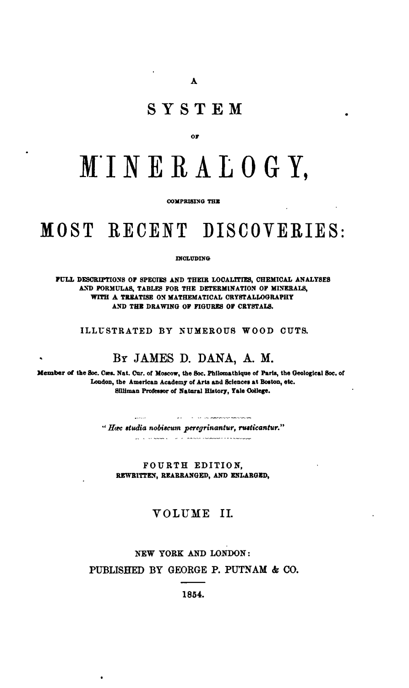# SYSTEM

#### ОF

# MINERALOGY.

#### COMPRISING THE

# MOST RECENT DISCOVERIES.

#### **DIGLIDING**

FULL DESCRIPTIONS OF SPECIES AND THEIR LOCALITIES, CHEMICAL ANALYSES AND FORMULAS, TABLES FOR THE DETERMINATION OF MINERALS, WITH A TREATISE ON MATHEMATICAL CRYSTALLOGRAPHY AND THE DRAWING OF FIGURES OF CRYSTALS.

ILLUSTRATED BY NUMEROUS WOOD CUTS.

## BY JAMES D. DANA, A. M.

Member of the Soc. Cæs. Nat. Cur. of Moscow, the Soc. Philomathique of Paris, the Geological Soc. of London, the American Academy of Arts and Sciences at Boston, etc. Silliman Professor of Natural History, Yale College.

> a a compara a comparador nos comparadores.  $\frac{1}{2}$ "Hec studia nobiscum peregrinantur, rusticantur." al le response à la partie commune environnement

FOURTH EDITION, REWRITTEN, REARRANGED, AND ENLARGED,

### VOLUME II.

# NEW YORK AND LONDON: PUBLISHED BY GEORGE P. PUTNAM & CO.

1854.

 $\bullet$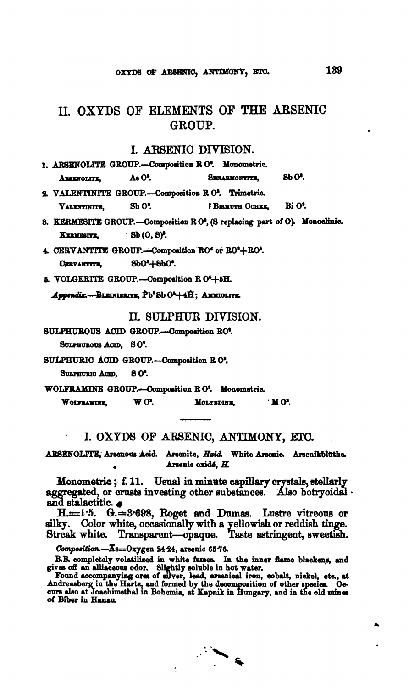# II. OXYDS OF ELEMENTS OF THE ARSENIC GROUP.

#### I. ARSENIO DIVISION.

|             |        | 1. ARSENOLITE GROUP.-Composition R O'. Monometric. |               |
|-------------|--------|----------------------------------------------------|---------------|
| ARSENOLITE, | As O'. | <b>SENARMONTITE,</b>                               | <b>8b O'.</b> |

2. VALENTINITE GROUP.-Composition R O'. Trimetric. Bi O'. VALENTINITE.  $SbO<sup>2</sup>$ . BISMUTH OCHRE.

8. KERMESITE GROUP.-Composition RO', (S replacing part of O). Monoclinic.  $-Bb(0, 8)^2$ . KERMESITE,

4. CERVANTITE GROUP.--Composition RO' or RO'+RO'. **CERVANTITE.** SbO'+SbO'.

5. VOLGERITE GROUP.-Composition R O<sup>4</sup>+5H.

Appendix.-BLEDGERITE, Pb<sup>2</sup>Sb O<sup>2</sup>+4H; AMMOLITE.

II. SULPHUR DIVISION.

SULPHUROUS ACID GROUP.---Composition RO'.

SULPHUROUS ACID, SO<sup>2</sup>.

SULPHURIC ACID GROUP.-Composition RO'.

SULPHURIC ACID, 80'

WOLFRAMINE GROUP.-Composition RO<sup>2</sup>. Monometric.

 $WO<sup>2</sup>$ . MOLYBDINE,  $\cdot$  MO. WOLFRAMINE.

I. OXYDS OF ARSENIC, ANTIMONY, ETC.

ARSENOLITE, Arsenous Acid. Arsenite, Haid. White Arsenic. Arsenikblüthe. Arsenic oxidé, H.

Monometric; f. 11. Usual in minute capillary crystals, stellarly aggregated, or crusts investing other substances. Also botryoidal. and stalactitic.

 $H = 1.5$ .  $G = 3.698$ , Roget and Dumas. Lustre vitreous or silky. Color white, occasionally with a yellowish or reddish tinge. Streak white. Transparent-opaque. Taste astringent, sweetish.

Composition.-Ks=Oxygen 24.24, arsenic 6576.

B.R. completely volatilized in white fumes. In the inner flame blackens, and gives off an alliaceous odor. Slightly soluble in hot water.<br>Found accompanying orea of silver, lead, arsenical iron, cobalt, nickel, etc., at An of Biber in Hanau.

ł,